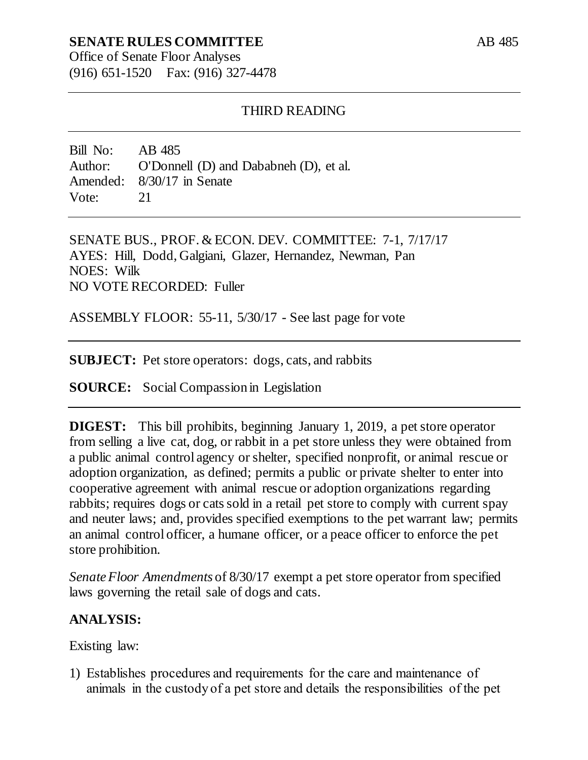# **SENATE RULES COMMITTEE**

Office of Senate Floor Analyses (916) 651-1520 Fax: (916) 327-4478

### THIRD READING

Bill No: AB 485 Author: O'Donnell (D) and Dababneh (D), et al. Amended: 8/30/17 in Senate Vote: 21

SENATE BUS., PROF. & ECON. DEV. COMMITTEE: 7-1, 7/17/17 AYES: Hill, Dodd, Galgiani, Glazer, Hernandez, Newman, Pan NOES: Wilk NO VOTE RECORDED: Fuller

ASSEMBLY FLOOR: 55-11, 5/30/17 - See last page for vote

**SUBJECT:** Pet store operators: dogs, cats, and rabbits

**SOURCE:** Social Compassion in Legislation

**DIGEST:** This bill prohibits, beginning January 1, 2019, a pet store operator from selling a live cat, dog, or rabbit in a pet store unless they were obtained from a public animal control agency or shelter, specified nonprofit, or animal rescue or adoption organization, as defined; permits a public or private shelter to enter into cooperative agreement with animal rescue or adoption organizations regarding rabbits; requires dogs or cats sold in a retail pet store to comply with current spay and neuter laws; and, provides specified exemptions to the pet warrant law; permits an animal control officer, a humane officer, or a peace officer to enforce the pet store prohibition.

*Senate Floor Amendments* of 8/30/17 exempt a pet store operator from specified laws governing the retail sale of dogs and cats.

## **ANALYSIS:**

Existing law:

1) Establishes procedures and requirements for the care and maintenance of animals in the custody of a pet store and details the responsibilities of the pet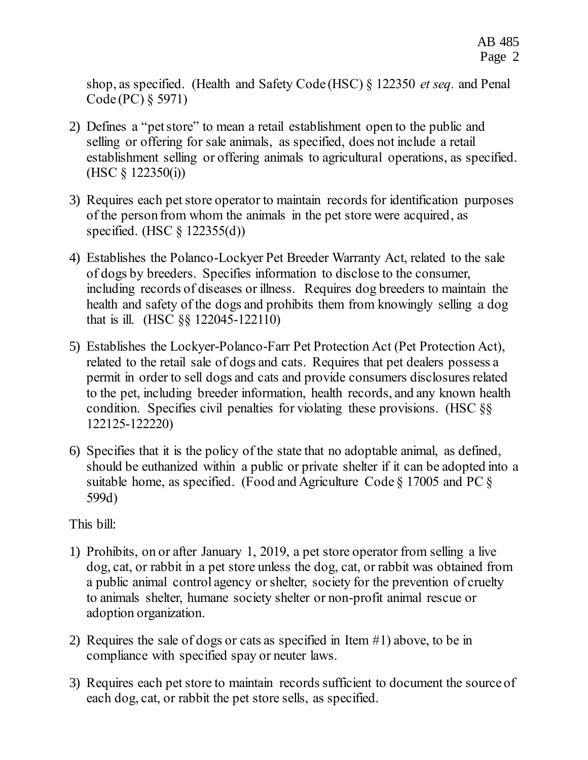shop, as specified. (Health and Safety Code (HSC) § 122350 *et seq.* and Penal Code (PC) § 5971)

- 2) Defines a "pet store" to mean a retail establishment open to the public and selling or offering for sale animals, as specified, does not include a retail establishment selling or offering animals to agricultural operations, as specified. (HSC § 122350(i))
- 3) Requires each pet store operator to maintain records for identification purposes of the person from whom the animals in the pet store were acquired, as specified. (HSC § 122355(d))
- 4) Establishes the Polanco-Lockyer Pet Breeder Warranty Act, related to the sale of dogs by breeders. Specifies information to disclose to the consumer, including records of diseases or illness. Requires dog breeders to maintain the health and safety of the dogs and prohibits them from knowingly selling a dog that is ill. (HSC §§ 122045-122110)
- 5) Establishes the Lockyer-Polanco-Farr Pet Protection Act (Pet Protection Act), related to the retail sale of dogs and cats. Requires that pet dealers possess a permit in order to sell dogs and cats and provide consumers disclosures related to the pet, including breeder information, health records, and any known health condition. Specifies civil penalties for violating these provisions. (HSC §§ 122125-122220)
- 6) Specifies that it is the policy of the state that no adoptable animal, as defined, should be euthanized within a public or private shelter if it can be adopted into a suitable home, as specified. (Food and Agriculture Code § 17005 and PC § 599d)

This bill:

- 1) Prohibits, on or after January 1, 2019, a pet store operator from selling a live dog, cat, or rabbit in a pet store unless the dog, cat, or rabbit was obtained from a public animal control agency or shelter, society for the prevention of cruelty to animals shelter, humane society shelter or non-profit animal rescue or adoption organization.
- 2) Requires the sale of dogs or cats as specified in Item #1) above, to be in compliance with specified spay or neuter laws.
- 3) Requires each pet store to maintain records sufficient to document the source of each dog, cat, or rabbit the pet store sells, as specified.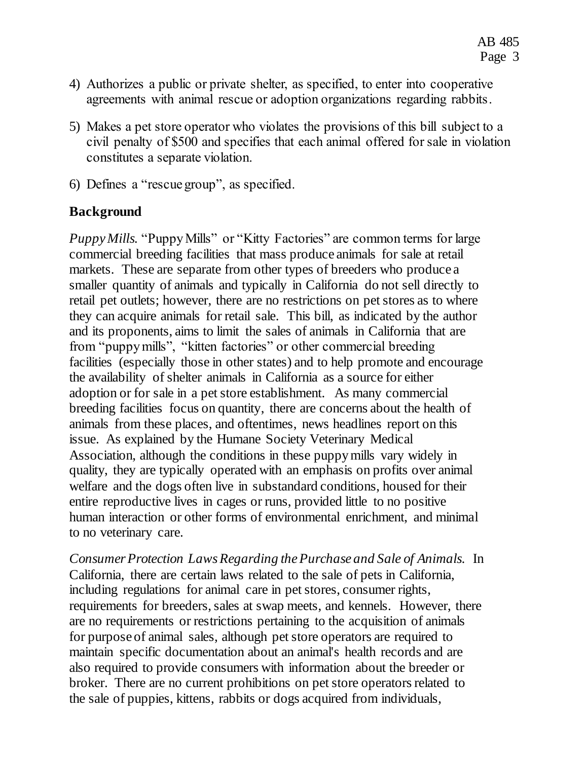- 4) Authorizes a public or private shelter, as specified, to enter into cooperative agreements with animal rescue or adoption organizations regarding rabbits.
- 5) Makes a pet store operator who violates the provisions of this bill subject to a civil penalty of \$500 and specifies that each animal offered for sale in violation constitutes a separate violation.
- 6) Defines a "rescue group", as specified.

# **Background**

*Puppy Mills.* "Puppy Mills" or "Kitty Factories" are common terms for large commercial breeding facilities that mass produce animals for sale at retail markets. These are separate from other types of breeders who produce a smaller quantity of animals and typically in California do not sell directly to retail pet outlets; however, there are no restrictions on pet stores as to where they can acquire animals for retail sale. This bill, as indicated by the author and its proponents, aims to limit the sales of animals in California that are from "puppy mills", "kitten factories" or other commercial breeding facilities (especially those in other states) and to help promote and encourage the availability of shelter animals in California as a source for either adoption or for sale in a pet store establishment. As many commercial breeding facilities focus on quantity, there are concerns about the health of animals from these places, and oftentimes, news headlines report on this issue. As explained by the Humane Society Veterinary Medical Association, although the conditions in these puppy mills vary widely in quality, they are typically operated with an emphasis on profits over animal welfare and the dogs often live in substandard conditions, housed for their entire reproductive lives in cages or runs, provided little to no positive human interaction or other forms of environmental enrichment, and minimal to no veterinary care.

*Consumer Protection Laws Regarding the Purchase and Sale of Animals.* In California, there are certain laws related to the sale of pets in California, including regulations for animal care in pet stores, consumer rights, requirements for breeders, sales at swap meets, and kennels. However, there are no requirements or restrictions pertaining to the acquisition of animals for purpose of animal sales, although pet store operators are required to maintain specific documentation about an animal's health records and are also required to provide consumers with information about the breeder or broker. There are no current prohibitions on pet store operators related to the sale of puppies, kittens, rabbits or dogs acquired from individuals,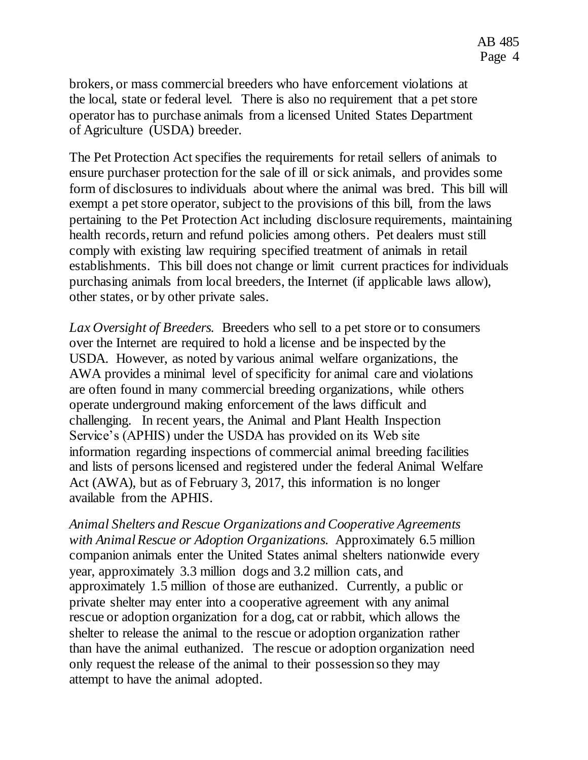brokers, or mass commercial breeders who have enforcement violations at the local, state or federal level. There is also no requirement that a pet store operator has to purchase animals from a licensed United States Department of Agriculture (USDA) breeder.

The Pet Protection Act specifies the requirements for retail sellers of animals to ensure purchaser protection for the sale of ill or sick animals, and provides some form of disclosures to individuals about where the animal was bred. This bill will exempt a pet store operator, subject to the provisions of this bill, from the laws pertaining to the Pet Protection Act including disclosure requirements, maintaining health records, return and refund policies among others. Pet dealers must still comply with existing law requiring specified treatment of animals in retail establishments. This bill does not change or limit current practices for individuals purchasing animals from local breeders, the Internet (if applicable laws allow), other states, or by other private sales.

*Lax Oversight of Breeders.* Breeders who sell to a pet store or to consumers over the Internet are required to hold a license and be inspected by the USDA. However, as noted by various animal welfare organizations, the AWA provides a minimal level of specificity for animal care and violations are often found in many commercial breeding organizations, while others operate underground making enforcement of the laws difficult and challenging. In recent years, the Animal and Plant Health Inspection Service's (APHIS) under the USDA has provided on its Web site information regarding inspections of commercial animal breeding facilities and lists of persons licensed and registered under the federal Animal Welfare Act (AWA), but as of February 3, 2017, this information is no longer available from the APHIS.

*Animal Shelters and Rescue Organizations and Cooperative Agreements with Animal Rescue or Adoption Organizations.* Approximately 6.5 million companion animals enter the United States animal shelters nationwide every year, approximately 3.3 million dogs and 3.2 million cats, and approximately 1.5 million of those are euthanized. Currently, a public or private shelter may enter into a cooperative agreement with any animal rescue or adoption organization for a dog, cat or rabbit, which allows the shelter to release the animal to the rescue or adoption organization rather than have the animal euthanized. The rescue or adoption organization need only request the release of the animal to their possession so they may attempt to have the animal adopted.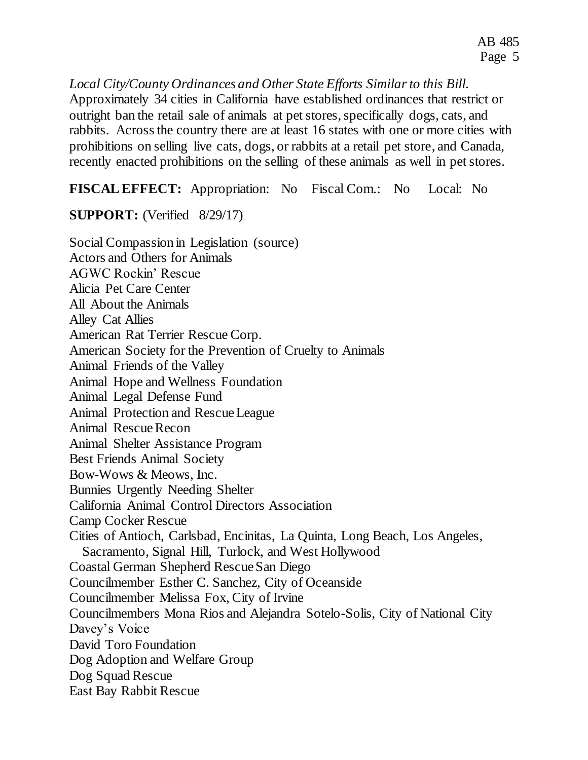*Local City/County Ordinances and Other State Efforts Similar to this Bill.* Approximately 34 cities in California have established ordinances that restrict or outright ban the retail sale of animals at pet stores, specifically dogs, cats, and rabbits. Across the country there are at least 16 states with one or more cities with prohibitions on selling live cats, dogs, or rabbits at a retail pet store, and Canada, recently enacted prohibitions on the selling of these animals as well in pet stores.

**FISCAL EFFECT:** Appropriation: No Fiscal Com.: No Local: No

**SUPPORT:** (Verified 8/29/17)

Social Compassion in Legislation (source) Actors and Others for Animals AGWC Rockin' Rescue Alicia Pet Care Center All About the Animals Alley Cat Allies American Rat Terrier Rescue Corp. American Society for the Prevention of Cruelty to Animals Animal Friends of the Valley Animal Hope and Wellness Foundation Animal Legal Defense Fund Animal Protection and Rescue League Animal Rescue Recon Animal Shelter Assistance Program Best Friends Animal Society Bow-Wows & Meows, Inc. Bunnies Urgently Needing Shelter California Animal Control Directors Association Camp Cocker Rescue Cities of Antioch, Carlsbad, Encinitas, La Quinta, Long Beach, Los Angeles, Sacramento, Signal Hill, Turlock, and West Hollywood Coastal German Shepherd Rescue San Diego Councilmember Esther C. Sanchez, City of Oceanside Councilmember Melissa Fox, City of Irvine Councilmembers Mona Rios and Alejandra Sotelo-Solis, City of National City Davey's Voice David Toro Foundation Dog Adoption and Welfare Group Dog Squad Rescue East Bay Rabbit Rescue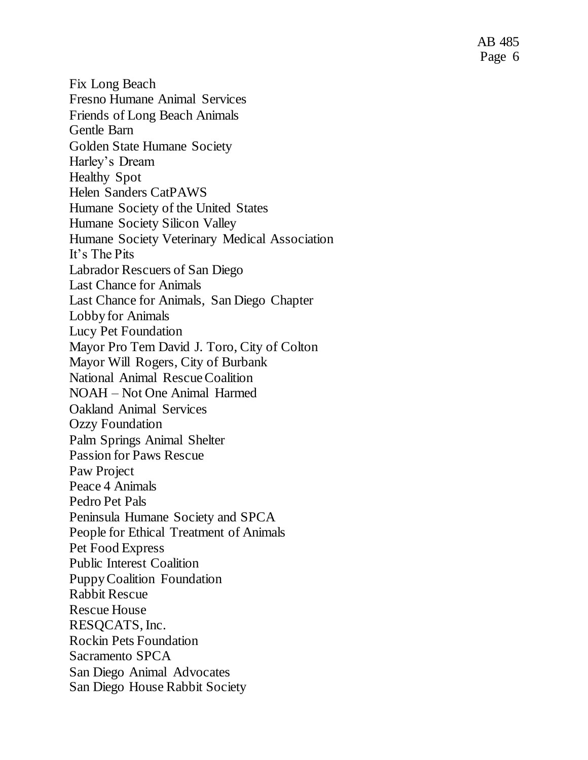AB 485 Page 6

Fix Long Beach Fresno Humane Animal Services Friends of Long Beach Animals Gentle Barn Golden State Humane Society Harley's Dream Healthy Spot Helen Sanders CatPAWS Humane Society of the United States Humane Society Silicon Valley Humane Society Veterinary Medical Association It's The Pits Labrador Rescuers of San Diego Last Chance for Animals Last Chance for Animals, San Diego Chapter Lobby for Animals Lucy Pet Foundation Mayor Pro Tem David J. Toro, City of Colton Mayor Will Rogers, City of Burbank National Animal Rescue Coalition NOAH – Not One Animal Harmed Oakland Animal Services Ozzy Foundation Palm Springs Animal Shelter Passion for Paws Rescue Paw Project Peace 4 Animals Pedro Pet Pals Peninsula Humane Society and SPCA People for Ethical Treatment of Animals Pet Food Express Public Interest Coalition Puppy Coalition Foundation Rabbit Rescue Rescue House RESQCATS, Inc. Rockin Pets Foundation Sacramento SPCA San Diego Animal Advocates San Diego House Rabbit Society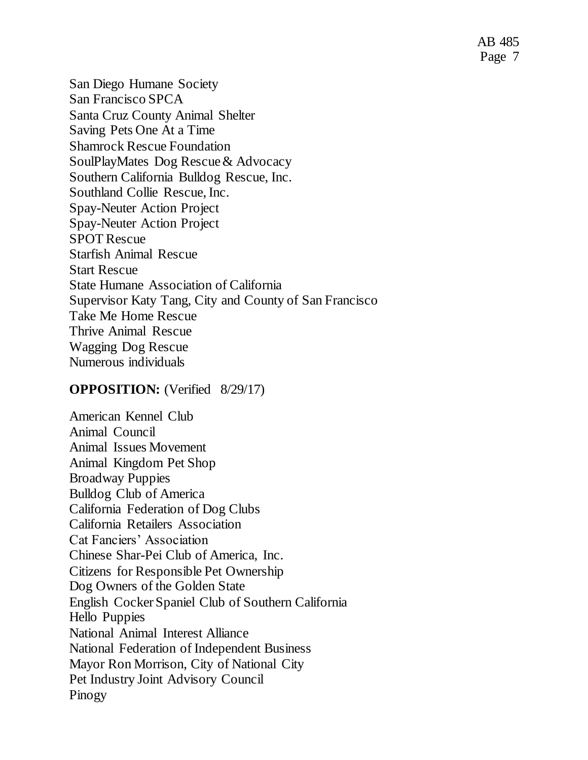AB 485 Page 7

San Diego Humane Society San Francisco SPCA Santa Cruz County Animal Shelter Saving Pets One At a Time Shamrock Rescue Foundation SoulPlayMates Dog Rescue & Advocacy Southern California Bulldog Rescue, Inc. Southland Collie Rescue, Inc. Spay-Neuter Action Project Spay-Neuter Action Project SPOT Rescue Starfish Animal Rescue Start Rescue State Humane Association of California Supervisor Katy Tang, City and County of San Francisco Take Me Home Rescue Thrive Animal Rescue Wagging Dog Rescue Numerous individuals

#### **OPPOSITION:** (Verified 8/29/17)

American Kennel Club Animal Council Animal Issues Movement Animal Kingdom Pet Shop Broadway Puppies Bulldog Club of America California Federation of Dog Clubs California Retailers Association Cat Fanciers' Association Chinese Shar-Pei Club of America, Inc. Citizens for Responsible Pet Ownership Dog Owners of the Golden State English Cocker Spaniel Club of Southern California Hello Puppies National Animal Interest Alliance National Federation of Independent Business Mayor Ron Morrison, City of National City Pet Industry Joint Advisory Council Pinogy